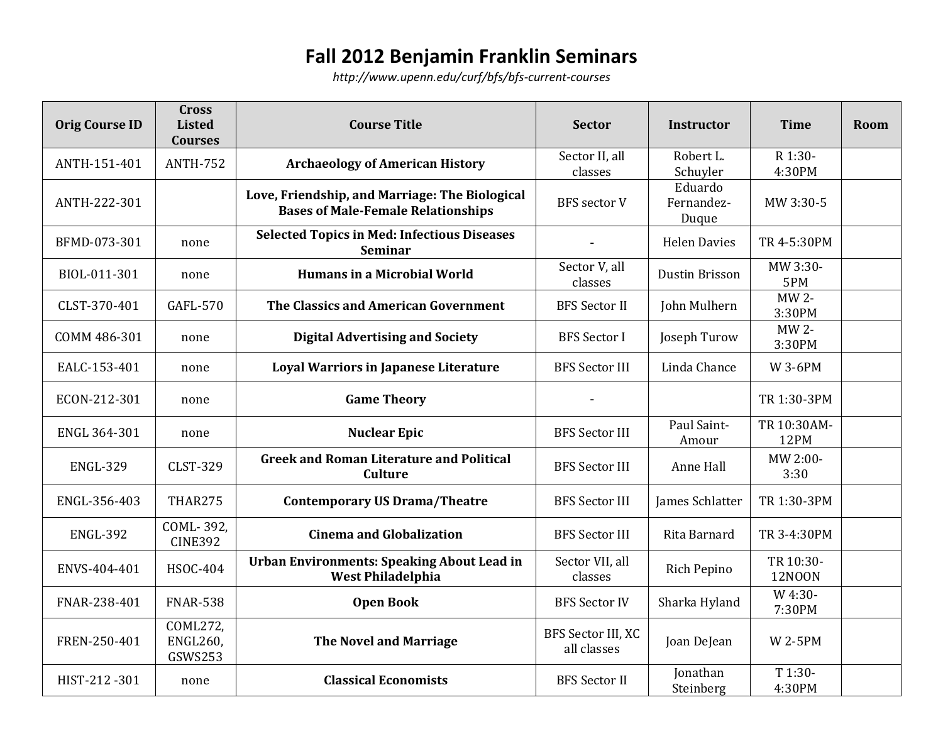## **Fall 2012 Benjamin Franklin Seminars**

*<http://www.upenn.edu/curf/bfs/bfs-current-courses>*

| <b>Orig Course ID</b> | <b>Cross</b><br><b>Listed</b><br><b>Courses</b> | <b>Course Title</b>                                                                         | <b>Sector</b>                     | <b>Instructor</b>              | <b>Time</b>                | Room |
|-----------------------|-------------------------------------------------|---------------------------------------------------------------------------------------------|-----------------------------------|--------------------------------|----------------------------|------|
| ANTH-151-401          | <b>ANTH-752</b>                                 | <b>Archaeology of American History</b>                                                      | Sector II, all<br>classes         | Robert L.<br>Schuyler          | R 1:30-<br>4:30PM          |      |
| ANTH-222-301          |                                                 | Love, Friendship, and Marriage: The Biological<br><b>Bases of Male-Female Relationships</b> | <b>BFS</b> sector V               | Eduardo<br>Fernandez-<br>Duque | MW 3:30-5                  |      |
| BFMD-073-301          | none                                            | <b>Selected Topics in Med: Infectious Diseases</b><br><b>Seminar</b>                        |                                   | <b>Helen Davies</b>            | TR 4-5:30PM                |      |
| BIOL-011-301          | none                                            | <b>Humans in a Microbial World</b>                                                          | Sector V, all<br>classes          | Dustin Brisson                 | MW 3:30-<br>5PM            |      |
| CLST-370-401          | <b>GAFL-570</b>                                 | The Classics and American Government                                                        | <b>BFS</b> Sector II              | John Mulhern                   | MW 2-<br>3:30PM            |      |
| COMM 486-301          | none                                            | <b>Digital Advertising and Society</b>                                                      | <b>BFS</b> Sector I               | Joseph Turow                   | MW 2-<br>3:30PM            |      |
| EALC-153-401          | none                                            | <b>Loyal Warriors in Japanese Literature</b>                                                | <b>BFS Sector III</b>             | Linda Chance                   | <b>W3-6PM</b>              |      |
| ECON-212-301          | none                                            | <b>Game Theory</b>                                                                          |                                   |                                | TR 1:30-3PM                |      |
| ENGL 364-301          | none                                            | <b>Nuclear Epic</b>                                                                         | <b>BFS Sector III</b>             | Paul Saint-<br>Amour           | TR 10:30AM-<br>12PM        |      |
| <b>ENGL-329</b>       | <b>CLST-329</b>                                 | <b>Greek and Roman Literature and Political</b><br><b>Culture</b>                           | <b>BFS Sector III</b>             | Anne Hall                      | MW 2:00-<br>3:30           |      |
| ENGL-356-403          | THAR275                                         | <b>Contemporary US Drama/Theatre</b>                                                        | <b>BFS Sector III</b>             | James Schlatter                | TR 1:30-3PM                |      |
| <b>ENGL-392</b>       | COML-392,<br><b>CINE392</b>                     | <b>Cinema and Globalization</b>                                                             | <b>BFS Sector III</b>             | Rita Barnard                   | TR 3-4:30PM                |      |
| ENVS-404-401          | <b>HSOC-404</b>                                 | <b>Urban Environments: Speaking About Lead in</b><br><b>West Philadelphia</b>               | Sector VII, all<br>classes        | Rich Pepino                    | TR 10:30-<br><b>12N00N</b> |      |
| FNAR-238-401          | <b>FNAR-538</b>                                 | <b>Open Book</b>                                                                            | <b>BFS Sector IV</b>              | Sharka Hyland                  | W 4:30-<br>7:30PM          |      |
| FREN-250-401          | COML272,<br><b>ENGL260,</b><br>GSWS253          | <b>The Novel and Marriage</b>                                                               | BFS Sector III, XC<br>all classes | Joan DeJean                    | <b>W2-5PM</b>              |      |
| HIST-212-301          | none                                            | <b>Classical Economists</b>                                                                 | <b>BFS</b> Sector II              | Jonathan<br>Steinberg          | T 1:30-<br>4:30PM          |      |